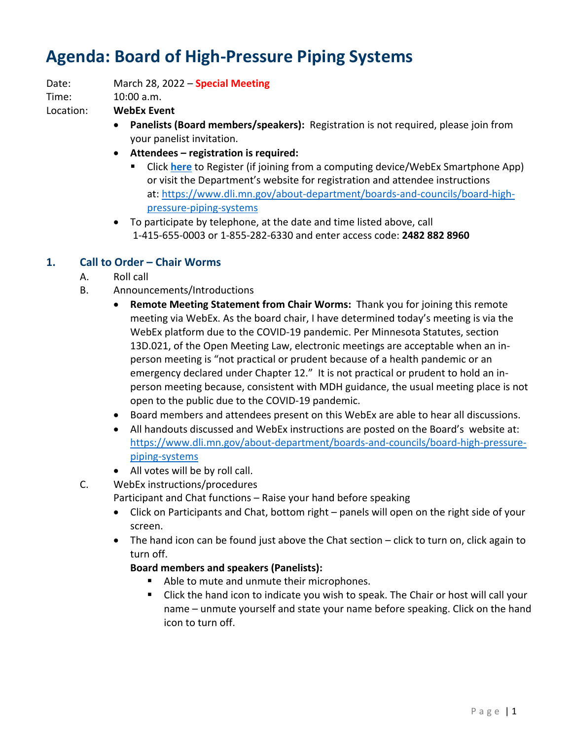# **Agenda: Board of High-Pressure Piping Systems**

Date: March 28, 2022 – **Special Meeting** Time: 10:00 a.m.

Location: **WebEx Event**

- **Panelists (Board members/speakers):** Registration is not required, please join from your panelist invitation.
- **Attendees – registration is required:**
	- Click **[here](https://minnesota.webex.com/minnesota/j.php?RGID=r4ad04215265e8bb1fd8a5e25a015fd0e)** to Register (if joining from a computing device/WebEx Smartphone App) or visit the Department's website for registration and attendee instructions at: [https://www.dli.mn.gov/about-department/boards-and-councils/board-high](https://www.dli.mn.gov/about-department/boards-and-councils/board-high-pressure-piping-systems)[pressure-piping-systems](https://www.dli.mn.gov/about-department/boards-and-councils/board-high-pressure-piping-systems)
- To participate by telephone, at the date and time listed above, call 1-415-655-0003 or 1-855-282-6330 and enter access code: **2482 882 8960**

# **1. Call to Order – Chair Worms**

- A. Roll call
- B. Announcements/Introductions
	- **Remote Meeting Statement from Chair Worms:** Thank you for joining this remote meeting via WebEx. As the board chair, I have determined today's meeting is via the WebEx platform due to the COVID-19 pandemic. Per Minnesota Statutes, section 13D.021, of the Open Meeting Law, electronic meetings are acceptable when an inperson meeting is "not practical or prudent because of a health pandemic or an emergency declared under Chapter 12." It is not practical or prudent to hold an inperson meeting because, consistent with MDH guidance, the usual meeting place is not open to the public due to the COVID-19 pandemic.
	- Board members and attendees present on this WebEx are able to hear all discussions.
	- All handouts discussed and WebEx instructions are posted on the Board's website at: [https://www.dli.mn.gov/about-department/boards-and-councils/board-high-pressure](https://www.dli.mn.gov/about-department/boards-and-councils/board-high-pressure-piping-systems)[piping-systems](https://www.dli.mn.gov/about-department/boards-and-councils/board-high-pressure-piping-systems)
	- All votes will be by roll call.
- C. WebEx instructions/procedures

Participant and Chat functions – Raise your hand before speaking

- Click on Participants and Chat, bottom right panels will open on the right side of your screen.
- The hand icon can be found just above the Chat section click to turn on, click again to turn off.

## **Board members and speakers (Panelists):**

- Able to mute and unmute their microphones.
- Click the hand icon to indicate you wish to speak. The Chair or host will call your name – unmute yourself and state your name before speaking. Click on the hand icon to turn off.